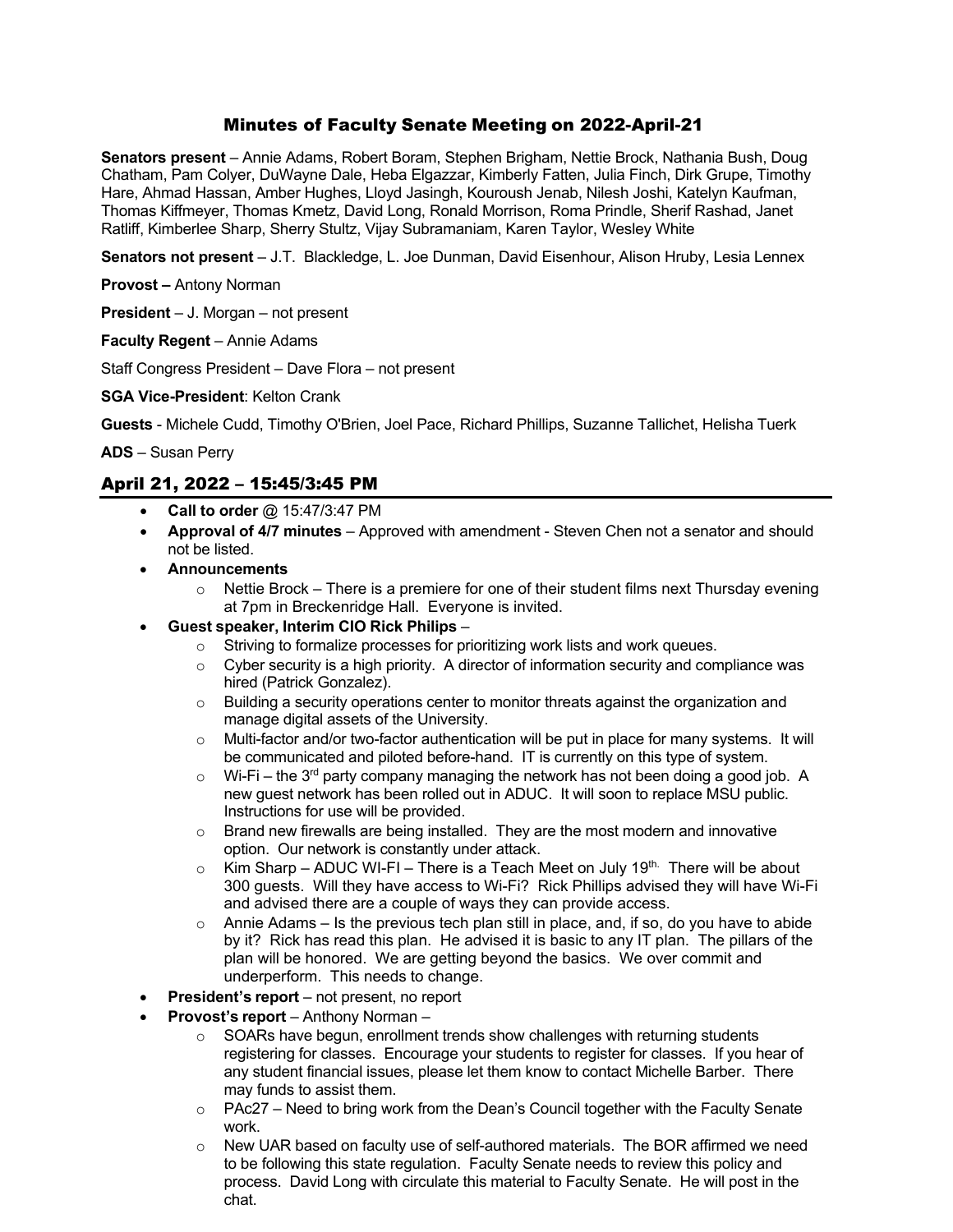# Minutes of Faculty Senate Meeting on 2022-April-21

**Senators present** – Annie Adams, Robert Boram, Stephen Brigham, Nettie Brock, Nathania Bush, Doug Chatham, Pam Colyer, DuWayne Dale, Heba Elgazzar, Kimberly Fatten, Julia Finch, Dirk Grupe, Timothy Hare, Ahmad Hassan, Amber Hughes, Lloyd Jasingh, Kouroush Jenab, Nilesh Joshi, Katelyn Kaufman, Thomas Kiffmeyer, Thomas Kmetz, David Long, Ronald Morrison, Roma Prindle, Sherif Rashad, Janet Ratliff, Kimberlee Sharp, Sherry Stultz, Vijay Subramaniam, Karen Taylor, Wesley White

**Senators not present** – J.T. Blackledge, L. Joe Dunman, David Eisenhour, Alison Hruby, Lesia Lennex

**Provost –** Antony Norman

**President** – J. Morgan – not present

**Faculty Regent** – Annie Adams

Staff Congress President – Dave Flora – not present

**SGA Vice-President**: Kelton Crank

**Guests** - Michele Cudd, Timothy O'Brien, Joel Pace, Richard Phillips, Suzanne Tallichet, Helisha Tuerk

**ADS** – Susan Perry

## April 21, 2022 – 15:45/3:45 PM

- **Call to order** @ 15:47/3:47 PM
- **Approval of 4/7 minutes** Approved with amendment Steven Chen not a senator and should not be listed.
- **Announcements**
	- $\circ$  Nettie Brock There is a premiere for one of their student films next Thursday evening at 7pm in Breckenridge Hall. Everyone is invited.
- **Guest speaker, Interim CIO Rick Philips**
	- $\circ$  Striving to formalize processes for prioritizing work lists and work queues.<br>  $\circ$  Cyber security is a high priority. A director of information security and con
	- Cyber security is a high priority. A director of information security and compliance was hired (Patrick Gonzalez).
	- $\circ$  Building a security operations center to monitor threats against the organization and manage digital assets of the University.
	- $\circ$  Multi-factor and/or two-factor authentication will be put in place for many systems. It will be communicated and piloted before-hand. IT is currently on this type of system.
	- $\circ$  Wi-Fi the 3<sup>rd</sup> party company managing the network has not been doing a good job. A new guest network has been rolled out in ADUC. It will soon to replace MSU public. Instructions for use will be provided.
	- o Brand new firewalls are being installed. They are the most modern and innovative option. Our network is constantly under attack.
	- $\circ$  Kim Sharp ADUC WI-FI There is a Teach Meet on July 19th. There will be about 300 guests. Will they have access to Wi-Fi? Rick Phillips advised they will have Wi-Fi and advised there are a couple of ways they can provide access.
	- $\circ$  Annie Adams Is the previous tech plan still in place, and, if so, do you have to abide by it? Rick has read this plan. He advised it is basic to any IT plan. The pillars of the plan will be honored. We are getting beyond the basics. We over commit and underperform. This needs to change.
- **President's report** not present, no report
- **Provost's report** Anthony Norman
	- o SOARs have begun, enrollment trends show challenges with returning students registering for classes. Encourage your students to register for classes. If you hear of any student financial issues, please let them know to contact Michelle Barber. There may funds to assist them.
	- $\circ$  PAc27 Need to bring work from the Dean's Council together with the Faculty Senate work.
	- $\circ$  New UAR based on faculty use of self-authored materials. The BOR affirmed we need to be following this state regulation. Faculty Senate needs to review this policy and process. David Long with circulate this material to Faculty Senate. He will post in the chat.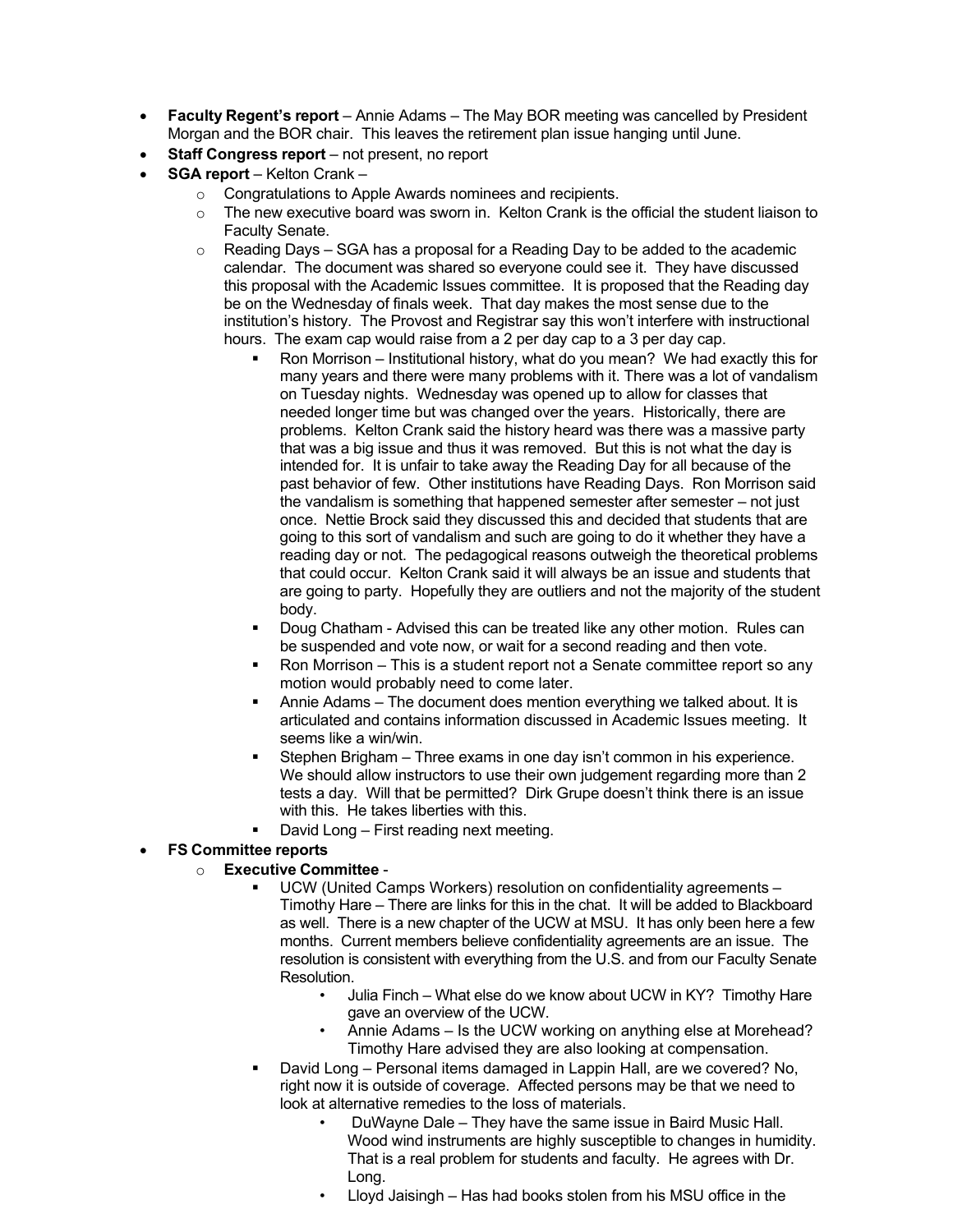- **Faculty Regent's report** Annie Adams The May BOR meeting was cancelled by President Morgan and the BOR chair. This leaves the retirement plan issue hanging until June.
- **Staff Congress report** not present, no report
- **SGA report** Kelton Crank
	- o Congratulations to Apple Awards nominees and recipients.
	- $\circ$  The new executive board was sworn in. Kelton Crank is the official the student liaison to Faculty Senate.
	- $\circ$  Reading Days SGA has a proposal for a Reading Day to be added to the academic calendar. The document was shared so everyone could see it. They have discussed this proposal with the Academic Issues committee. It is proposed that the Reading day be on the Wednesday of finals week. That day makes the most sense due to the institution's history. The Provost and Registrar say this won't interfere with instructional hours. The exam cap would raise from a 2 per day cap to a 3 per day cap.
		- Ron Morrison Institutional history, what do you mean? We had exactly this for many years and there were many problems with it. There was a lot of vandalism on Tuesday nights. Wednesday was opened up to allow for classes that needed longer time but was changed over the years. Historically, there are problems. Kelton Crank said the history heard was there was a massive party that was a big issue and thus it was removed. But this is not what the day is intended for. It is unfair to take away the Reading Day for all because of the past behavior of few. Other institutions have Reading Days. Ron Morrison said the vandalism is something that happened semester after semester – not just once. Nettie Brock said they discussed this and decided that students that are going to this sort of vandalism and such are going to do it whether they have a reading day or not. The pedagogical reasons outweigh the theoretical problems that could occur. Kelton Crank said it will always be an issue and students that are going to party. Hopefully they are outliers and not the majority of the student body.
		- Doug Chatham Advised this can be treated like any other motion. Rules can be suspended and vote now, or wait for a second reading and then vote.
		- Ron Morrison This is a student report not a Senate committee report so any motion would probably need to come later.
		- Annie Adams The document does mention everything we talked about. It is articulated and contains information discussed in Academic Issues meeting. It seems like a win/win.
		- Stephen Brigham Three exams in one day isn't common in his experience. We should allow instructors to use their own judgement regarding more than 2 tests a day. Will that be permitted? Dirk Grupe doesn't think there is an issue with this. He takes liberties with this.
		- David Long First reading next meeting.

## • **FS Committee reports**

### o **Executive Committee** -

- UCW (United Camps Workers) resolution on confidentiality agreements Timothy Hare – There are links for this in the chat. It will be added to Blackboard as well. There is a new chapter of the UCW at MSU. It has only been here a few months. Current members believe confidentiality agreements are an issue. The resolution is consistent with everything from the U.S. and from our Faculty Senate Resolution.
	- Julia Finch What else do we know about UCW in KY? Timothy Hare gave an overview of the UCW.
	- Annie Adams Is the UCW working on anything else at Morehead? Timothy Hare advised they are also looking at compensation.
- David Long Personal items damaged in Lappin Hall, are we covered? No, right now it is outside of coverage. Affected persons may be that we need to look at alternative remedies to the loss of materials.
	- DuWayne Dale They have the same issue in Baird Music Hall. Wood wind instruments are highly susceptible to changes in humidity. That is a real problem for students and faculty. He agrees with Dr. Long.
	- Lloyd Jaisingh Has had books stolen from his MSU office in the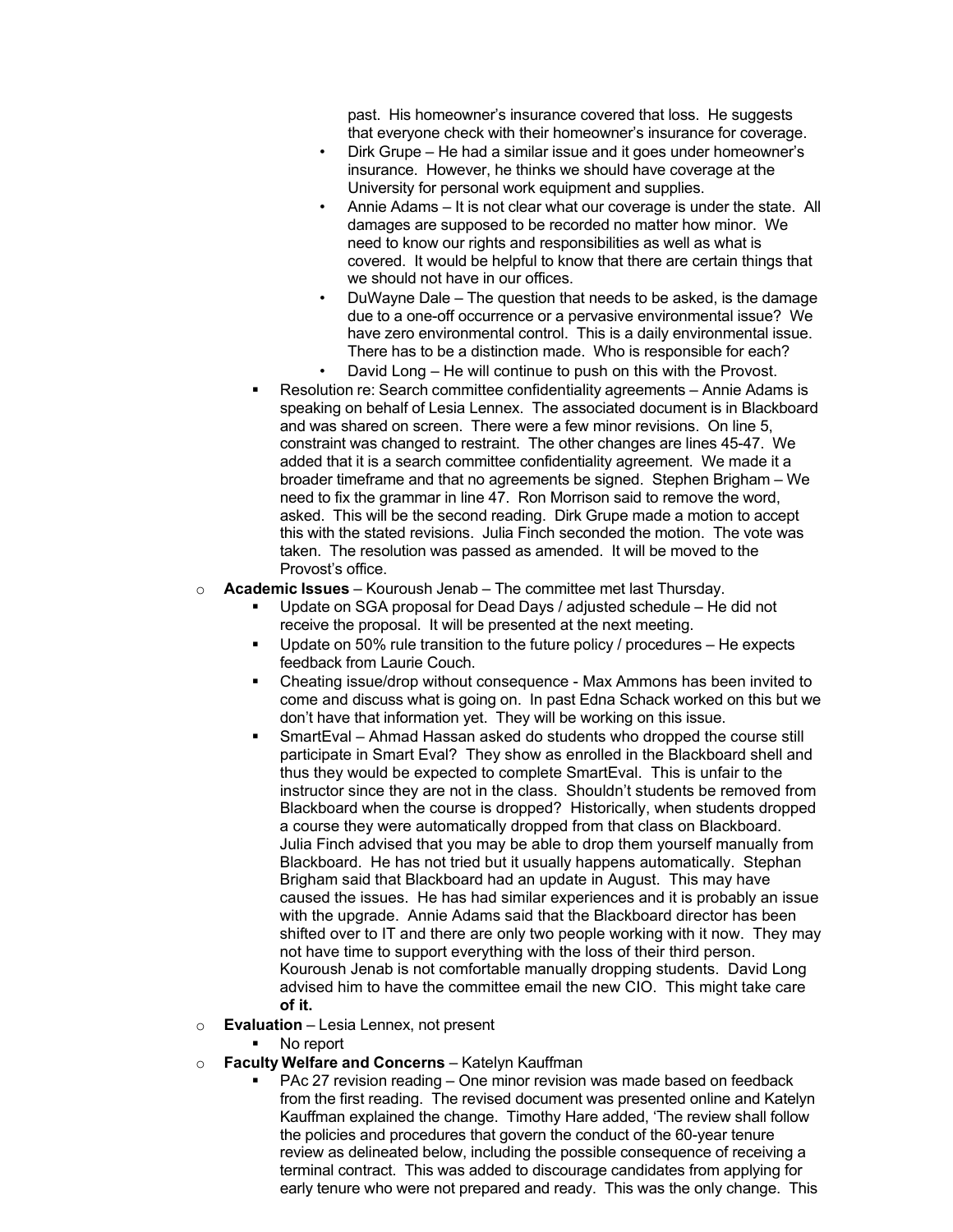past. His homeowner's insurance covered that loss. He suggests that everyone check with their homeowner's insurance for coverage.

- Dirk Grupe He had a similar issue and it goes under homeowner's insurance. However, he thinks we should have coverage at the University for personal work equipment and supplies.
- Annie Adams It is not clear what our coverage is under the state. All damages are supposed to be recorded no matter how minor. We need to know our rights and responsibilities as well as what is covered. It would be helpful to know that there are certain things that we should not have in our offices.
- DuWayne Dale The question that needs to be asked, is the damage due to a one-off occurrence or a pervasive environmental issue? We have zero environmental control. This is a daily environmental issue. There has to be a distinction made. Who is responsible for each?
- David Long He will continue to push on this with the Provost.
- Resolution re: Search committee confidentiality agreements Annie Adams is speaking on behalf of Lesia Lennex. The associated document is in Blackboard and was shared on screen. There were a few minor revisions. On line 5, constraint was changed to restraint. The other changes are lines 45-47. We added that it is a search committee confidentiality agreement. We made it a broader timeframe and that no agreements be signed. Stephen Brigham – We need to fix the grammar in line 47. Ron Morrison said to remove the word, asked. This will be the second reading. Dirk Grupe made a motion to accept this with the stated revisions. Julia Finch seconded the motion. The vote was taken. The resolution was passed as amended. It will be moved to the Provost's office.
- o **Academic Issues** Kouroush Jenab The committee met last Thursday.
	- Update on SGA proposal for Dead Days / adjusted schedule He did not receive the proposal. It will be presented at the next meeting.
	- Update on 50% rule transition to the future policy / procedures He expects feedback from Laurie Couch.
	- Cheating issue/drop without consequence Max Ammons has been invited to come and discuss what is going on. In past Edna Schack worked on this but we don't have that information yet. They will be working on this issue.
	- SmartEval Ahmad Hassan asked do students who dropped the course still participate in Smart Eval? They show as enrolled in the Blackboard shell and thus they would be expected to complete SmartEval. This is unfair to the instructor since they are not in the class. Shouldn't students be removed from Blackboard when the course is dropped? Historically, when students dropped a course they were automatically dropped from that class on Blackboard. Julia Finch advised that you may be able to drop them yourself manually from Blackboard. He has not tried but it usually happens automatically. Stephan Brigham said that Blackboard had an update in August. This may have caused the issues. He has had similar experiences and it is probably an issue with the upgrade. Annie Adams said that the Blackboard director has been shifted over to IT and there are only two people working with it now. They may not have time to support everything with the loss of their third person. Kouroush Jenab is not comfortable manually dropping students. David Long advised him to have the committee email the new CIO. This might take care **of it.**
- o **Evaluation** Lesia Lennex, not present
	- No report
- o **Faculty Welfare and Concerns** Katelyn Kauffman
	- PAc 27 revision reading One minor revision was made based on feedback from the first reading. The revised document was presented online and Katelyn Kauffman explained the change. Timothy Hare added, 'The review shall follow the policies and procedures that govern the conduct of the 60-year tenure review as delineated below, including the possible consequence of receiving a terminal contract. This was added to discourage candidates from applying for early tenure who were not prepared and ready. This was the only change. This